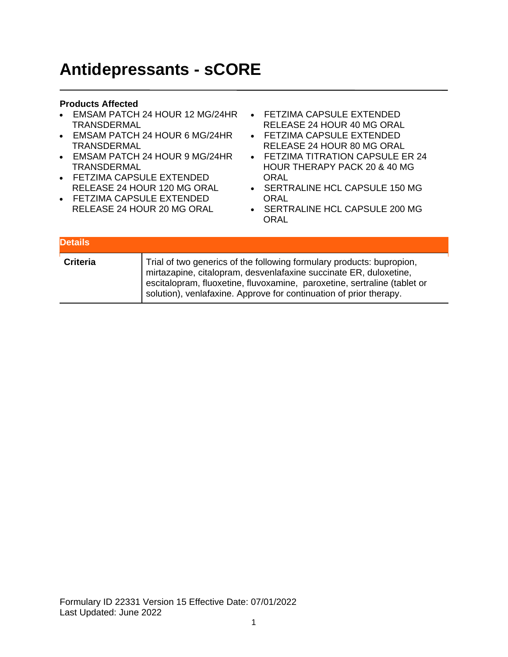## **Antidepressants - sCORE**

- EMSAM PATCH 24 HOUR 12 MG/24HR TRANSDERMAL
- EMSAM PATCH 24 HOUR 6 MG/24HR TRANSDERMAL
- EMSAM PATCH 24 HOUR 9 MG/24HR TRANSDERMAL
- FETZIMA CAPSULE EXTENDED RELEASE 24 HOUR 120 MG ORAL
- FETZIMA CAPSULE EXTENDED RELEASE 24 HOUR 20 MG ORAL
- FETZIMA CAPSULE EXTENDED RELEASE 24 HOUR 40 MG ORAL
- FETZIMA CAPSULE EXTENDED RELEASE 24 HOUR 80 MG ORAL
- FETZIMA TITRATION CAPSULE ER 24 HOUR THERAPY PACK 20 & 40 MG **ORAL**
- SERTRALINE HCL CAPSULE 150 MG **ORAL**
- SERTRALINE HCL CAPSULE 200 MG ORAL

| <b>Details</b>  |                                                                                                                                                                                                                                                                                              |
|-----------------|----------------------------------------------------------------------------------------------------------------------------------------------------------------------------------------------------------------------------------------------------------------------------------------------|
| <b>Criteria</b> | Trial of two generics of the following formulary products: bupropion,<br>mirtazapine, citalopram, desvenlafaxine succinate ER, duloxetine,<br>escitalopram, fluoxetine, fluvoxamine, paroxetine, sertraline (tablet or<br>solution), venlafaxine. Approve for continuation of prior therapy. |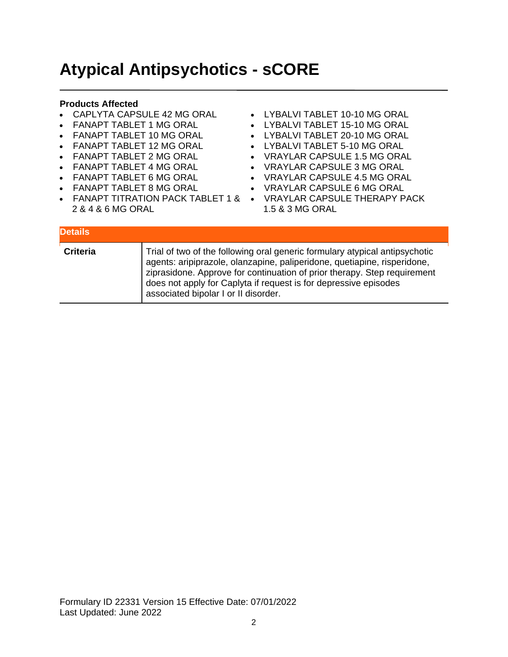## **Atypical Antipsychotics - sCORE**

- CAPLYTA CAPSULE 42 MG ORAL
- FANAPT TABLET 1 MG ORAL
- FANAPT TABLET 10 MG ORAL
- FANAPT TABLET 12 MG ORAL
- FANAPT TABLET 2 MG ORAL
- FANAPT TABLET 4 MG ORAL
- FANAPT TABLET 6 MG ORAL
- FANAPT TABLET 8 MG ORAL
- 
- 2 & 4 & 6 MG ORAL
- LYBALVI TABLET 10-10 MG ORAL
- LYBALVI TABLET 15-10 MG ORAL
- LYBALVI TABLET 20-10 MG ORAL
- LYBALVI TABLET 5-10 MG ORAL
- VRAYLAR CAPSULE 1.5 MG ORAL
- VRAYLAR CAPSULE 3 MG ORAL
- VRAYLAR CAPSULE 4.5 MG ORAL
- VRAYLAR CAPSULE 6 MG ORAL
- FANAPT TITRATION PACK TABLET 1 & VRAYLAR CAPSULE THERAPY PACK 1.5 & 3 MG ORAL

| <b>Details</b>  |                                                                                                                                                                                                                                                                                                                                                 |
|-----------------|-------------------------------------------------------------------------------------------------------------------------------------------------------------------------------------------------------------------------------------------------------------------------------------------------------------------------------------------------|
| <b>Criteria</b> | Trial of two of the following oral generic formulary atypical antipsychotic<br>agents: aripiprazole, olanzapine, paliperidone, quetiapine, risperidone,<br>ziprasidone. Approve for continuation of prior therapy. Step requirement<br>does not apply for Caplyta if request is for depressive episodes<br>associated bipolar I or II disorder. |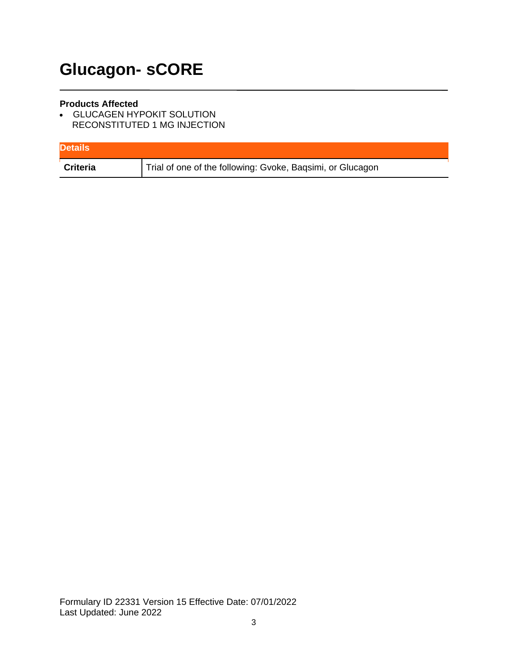# **Glucagon- sCORE**

#### **Products Affected**

• GLUCAGEN HYPOKIT SOLUTION RECONSTITUTED 1 MG INJECTION

| <b>Details</b> |                                                            |
|----------------|------------------------------------------------------------|
| Criteria       | Trial of one of the following: Gvoke, Baqsimi, or Glucagon |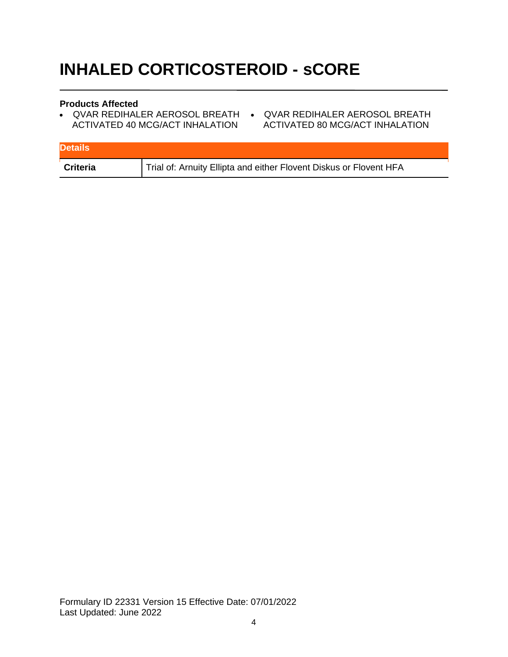# **INHALED CORTICOSTEROID - sCORE**

- QVAR REDIHALER AEROSOL BREATH QVAR REDIHALER AEROSOL BREATH ACTIVATED 40 MCG/ACT INHALATION
- ACTIVATED 80 MCG/ACT INHALATION

| <b>Details</b>  |                                                                    |
|-----------------|--------------------------------------------------------------------|
| <b>Criteria</b> | Trial of: Arnuity Ellipta and either Flovent Diskus or Flovent HFA |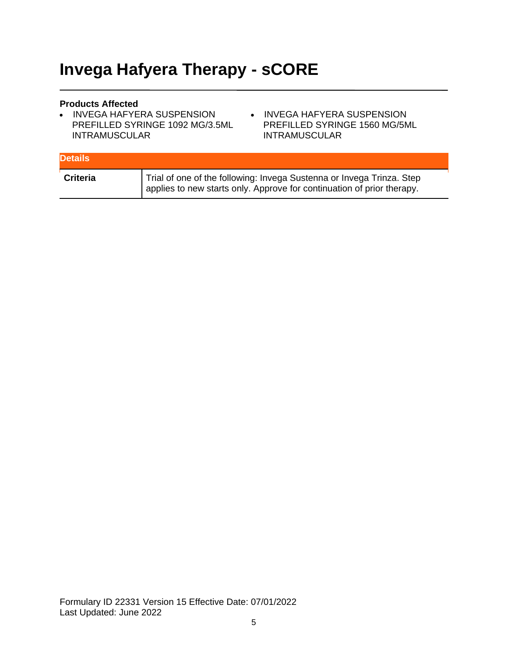## **Invega Hafyera Therapy - sCORE**

- INVEGA HAFYERA SUSPENSION PREFILLED SYRINGE 1092 MG/3.5ML INTRAMUSCULAR
- INVEGA HAFYERA SUSPENSION PREFILLED SYRINGE 1560 MG/5ML INTRAMUSCULAR

| <b>Details</b>  |                                                                                                                                                 |
|-----------------|-------------------------------------------------------------------------------------------------------------------------------------------------|
| <b>Criteria</b> | Trial of one of the following: Invega Sustenna or Invega Trinza. Step<br>applies to new starts only. Approve for continuation of prior therapy. |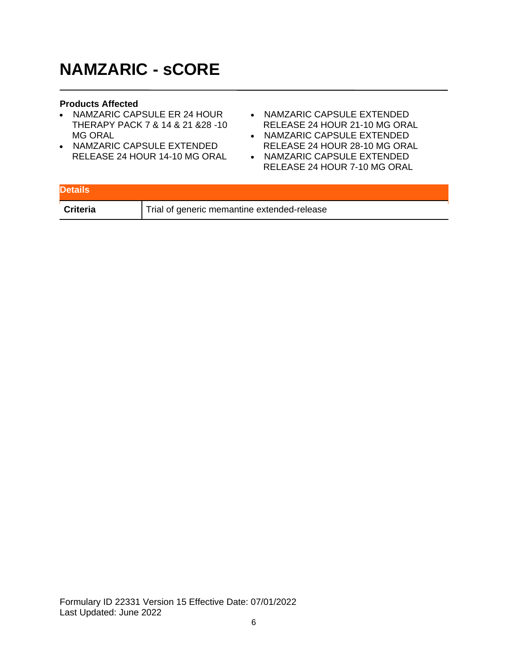## **NAMZARIC - sCORE**

- NAMZARIC CAPSULE ER 24 HOUR THERAPY PACK 7 & 14 & 21 &28 -10 MG ORAL
- NAMZARIC CAPSULE EXTENDED RELEASE 24 HOUR 14-10 MG ORAL
- NAMZARIC CAPSULE EXTENDED RELEASE 24 HOUR 21-10 MG ORAL
- NAMZARIC CAPSULE EXTENDED RELEASE 24 HOUR 28-10 MG ORAL
- NAMZARIC CAPSULE EXTENDED RELEASE 24 HOUR 7-10 MG ORAL

| <b>Details</b>  |                                             |
|-----------------|---------------------------------------------|
| <b>Criteria</b> | Trial of generic memantine extended-release |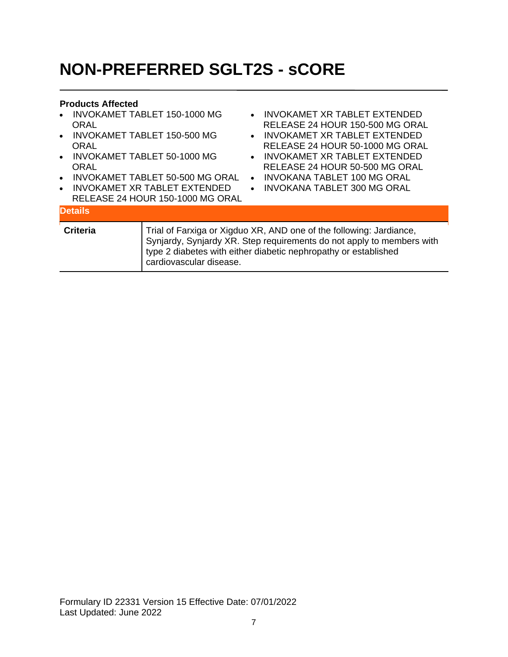# **NON-PREFERRED SGLT2S - sCORE**

| $\bullet$<br><b>ORAL</b><br>$\bullet$<br><b>ORAL</b><br>$\bullet$<br>ORAL<br>$\bullet$<br>$\bullet$ | <b>INVOKAMET TABLET 150-1000 MG</b><br><b>INVOKAMET TABLET 150-500 MG</b><br><b>INVOKAMET TABLET 50-1000 MG</b><br>INVOKAMET TABLET 50-500 MG ORAL<br>INVOKAMET XR TABLET EXTENDED<br>RELEASE 24 HOUR 150-1000 MG ORAL | $\bullet$<br>$\bullet$ | INVOKAMET XR TABLET EXTENDED<br>RELEASE 24 HOUR 150-500 MG ORAL<br>• INVOKAMET XR TABLET EXTENDED<br>RELEASE 24 HOUR 50-1000 MG ORAL<br>• INVOKAMET XR TABLET EXTENDED<br>RELEASE 24 HOUR 50-500 MG ORAL<br>INVOKANA TABLET 100 MG ORAL<br>INVOKANA TABLET 300 MG ORAL |
|-----------------------------------------------------------------------------------------------------|------------------------------------------------------------------------------------------------------------------------------------------------------------------------------------------------------------------------|------------------------|------------------------------------------------------------------------------------------------------------------------------------------------------------------------------------------------------------------------------------------------------------------------|
| <b>Details</b>                                                                                      |                                                                                                                                                                                                                        |                        |                                                                                                                                                                                                                                                                        |
| <b>Criteria</b>                                                                                     | cardiovascular disease.                                                                                                                                                                                                |                        | Trial of Farxiga or Xigduo XR, AND one of the following: Jardiance,<br>Synjardy, Synjardy XR. Step requirements do not apply to members with<br>type 2 diabetes with either diabetic nephropathy or established                                                        |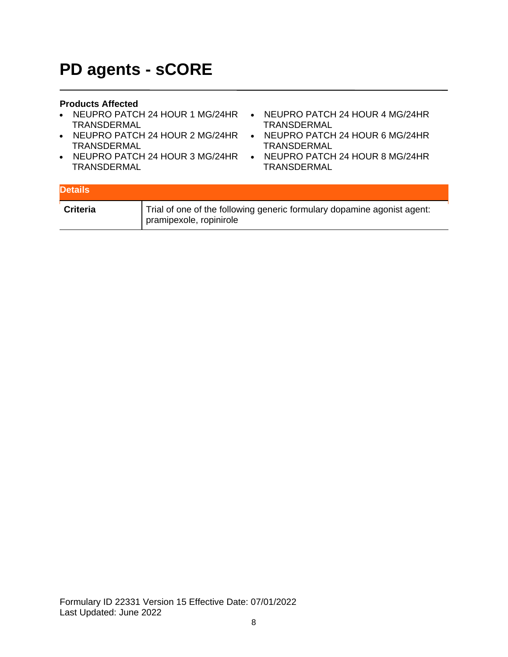### **PD agents - sCORE**

- NEUPRO PATCH 24 HOUR 1 MG/24HR NEUPRO PATCH 24 HOUR 4 MG/24HR TRANSDERMAL
- NEUPRO PATCH 24 HOUR 2 MG/24HR NEUPRO PATCH 24 HOUR 6 MG/24HR TRANSDERMAL
- NEUPRO PATCH 24 HOUR 3 MG/24HR TRANSDERMAL
- TRANSDERMAL
- TRANSDERMAL
- NEUPRO PATCH 24 HOUR 8 MG/24HR **TRANSDERMAL**

| <b>Details</b>  |                                                                                                    |
|-----------------|----------------------------------------------------------------------------------------------------|
| <b>Criteria</b> | Trial of one of the following generic formulary dopamine agonist agent:<br>pramipexole, ropinirole |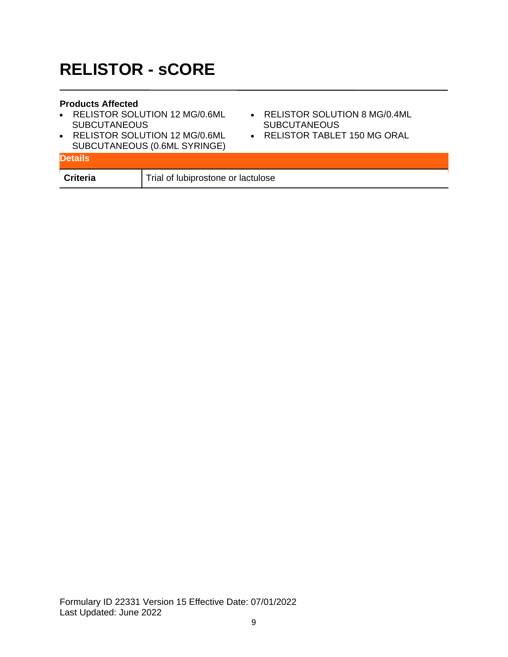## **RELISTOR - sCORE**

- RELISTOR SOLUTION 12 MG/0.6ML SUBCUTANEOUS
- RELISTOR SOLUTION 12 MG/0.6ML SUBCUTANEOUS (0.6ML SYRINGE)
- RELISTOR SOLUTION 8 MG/0.4ML **SUBCUTANEOUS**
- RELISTOR TABLET 150 MG ORAL

| <b>OUDCUTANLOUS (U.0ML OTNINGL)</b><br><b>Details</b> |                                    |
|-------------------------------------------------------|------------------------------------|
| <b>Criteria</b>                                       | Trial of lubiprostone or lactulose |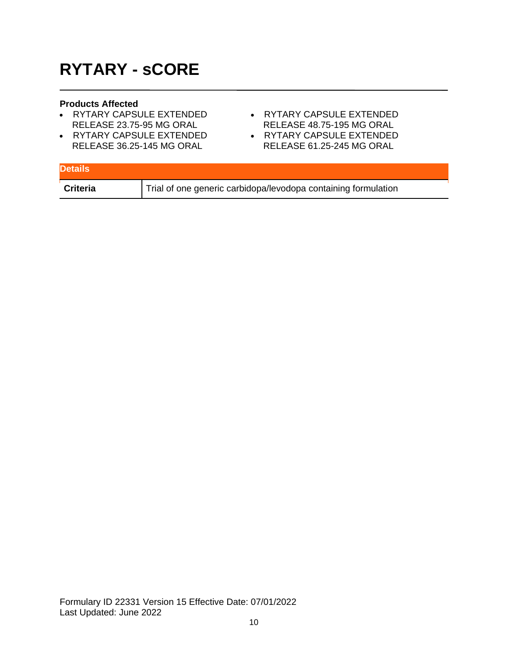# **RYTARY - sCORE**

- RYTARY CAPSULE EXTENDED RELEASE 23.75-95 MG ORAL
- RYTARY CAPSULE EXTENDED RELEASE 36.25-145 MG ORAL
- RYTARY CAPSULE EXTENDED RELEASE 48.75-195 MG ORAL
- RYTARY CAPSULE EXTENDED RELEASE 61.25-245 MG ORAL

| <b>Details</b> |                                                                |
|----------------|----------------------------------------------------------------|
| Criteria       | Trial of one generic carbidopa/levodopa containing formulation |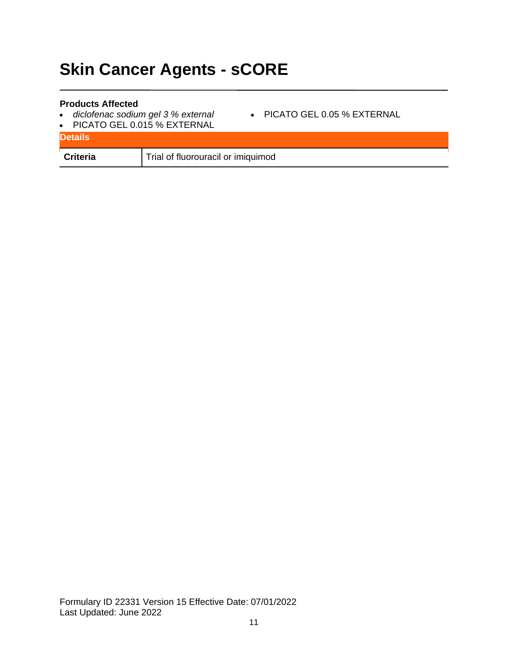# **Skin Cancer Agents - sCORE**

- *diclofenac sodium gel 3 % external*
- PICATO GEL 0.05 % EXTERNAL
- PICATO GEL 0.015 % EXTERNAL

| <b>Details</b>  |                                    |
|-----------------|------------------------------------|
| <b>Criteria</b> | Trial of fluorouracil or imiquimod |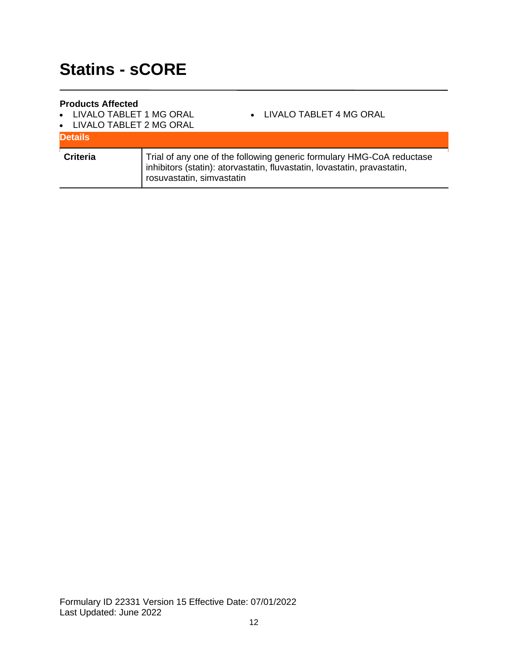- LIVALO TABLET 1 MG ORAL
- LIVALO TABLET 4 MG ORAL
- LIVALO TABLET 2 MG ORAL

| <b>Details</b>  |                                                                                                                                                                                |
|-----------------|--------------------------------------------------------------------------------------------------------------------------------------------------------------------------------|
| <b>Criteria</b> | Trial of any one of the following generic formulary HMG-CoA reductase<br>inhibitors (statin): atorvastatin, fluvastatin, lovastatin, pravastatin,<br>rosuvastatin, simvastatin |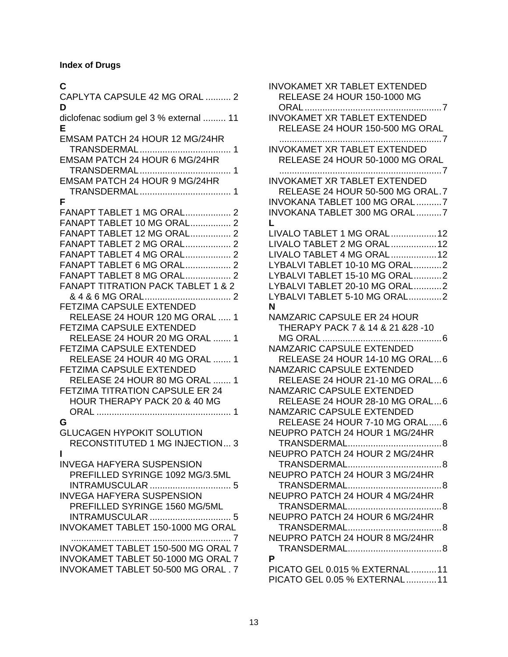### **Index of Drugs**

### **C**

| CAPLYTA CAPSULE 42 MG ORAL  2<br>D                                                                                                                                                                                                                                                                                                                                                                                                                                                                                                                             |
|----------------------------------------------------------------------------------------------------------------------------------------------------------------------------------------------------------------------------------------------------------------------------------------------------------------------------------------------------------------------------------------------------------------------------------------------------------------------------------------------------------------------------------------------------------------|
| diclofenac sodium gel 3 % external  11<br>Е                                                                                                                                                                                                                                                                                                                                                                                                                                                                                                                    |
| EMSAM PATCH 24 HOUR 12 MG/24HR                                                                                                                                                                                                                                                                                                                                                                                                                                                                                                                                 |
| EMSAM PATCH 24 HOUR 6 MG/24HR                                                                                                                                                                                                                                                                                                                                                                                                                                                                                                                                  |
| EMSAM PATCH 24 HOUR 9 MG/24HR                                                                                                                                                                                                                                                                                                                                                                                                                                                                                                                                  |
| F<br>FANAPT TABLET 1 MG ORAL 2<br>FANAPT TABLET 10 MG ORAL 2<br>FANAPT TABLET 12 MG ORAL 2<br><b>FANAPT TABLET 2 MG ORAL 2</b><br><b>FANAPT TABLET 4 MG ORAL 2</b><br><b>FANAPT TABLET 6 MG ORAL 2</b><br>FANAPT TABLET 8 MG ORAL 2<br><b>FANAPT TITRATION PACK TABLET 1 &amp; 2</b><br>FETZIMA CAPSULE EXTENDED<br>RELEASE 24 HOUR 120 MG ORAL  1<br><b>FETZIMA CAPSULE EXTENDED</b><br>RELEASE 24 HOUR 20 MG ORAL  1<br><b>FETZIMA CAPSULE EXTENDED</b><br>RELEASE 24 HOUR 40 MG ORAL  1<br><b>FETZIMA CAPSULE EXTENDED</b><br>RELEASE 24 HOUR 80 MG ORAL  1 |
| <b>FETZIMA TITRATION CAPSULE ER 24</b><br>HOUR THERAPY PACK 20 & 40 MG                                                                                                                                                                                                                                                                                                                                                                                                                                                                                         |
| G<br><b>GLUCAGEN HYPOKIT SOLUTION</b><br>RECONSTITUTED 1 MG INJECTION 3<br>ı                                                                                                                                                                                                                                                                                                                                                                                                                                                                                   |
| <b>INVEGA HAFYERA SUSPENSION</b><br>PREFILLED SYRINGE 1092 MG/3.5ML<br><b>INTRAMUSCULAR</b><br>. 5<br><b>INVEGA HAFYERA SUSPENSION</b><br>PREFILLED SYRINGE 1560 MG/5ML<br><b>INTRAMUSCULAR</b><br>. 5<br><b>INVOKAMET TABLET 150-1000 MG ORAL</b>                                                                                                                                                                                                                                                                                                             |
| INVOKAMET TABLET 150-500 MG ORAL 7<br>INVOKAMET TABLET 50-1000 MG ORAL 7<br>INVOKAMET TABLET 50-500 MG ORAL. 7                                                                                                                                                                                                                                                                                                                                                                                                                                                 |

| <b>INVOKAMET XR TABLET EXTENDED</b><br><b>RELEASE 24 HOUR 150-1000 MG</b>              |
|----------------------------------------------------------------------------------------|
| <b>INVOKAMET XR TABLET EXTENDED</b><br>RELEASE 24 HOUR 150-500 MG ORAL                 |
| <b>INVOKAMET XR TABLET EXTENDED</b><br>RELEASE 24 HOUR 50-1000 MG ORAL                 |
| <b>INVOKAMET XR TABLET EXTENDED</b><br>RELEASE 24 HOUR 50-500 MG ORAL.7                |
| INVOKANA TABLET 100 MG ORAL7<br>INVOKANA TABLET 300 MG ORAL7<br>L                      |
| LIVALO TABLET 1 MG ORAL 12<br>LIVALO TABLET 2 MG ORAL 12<br>LIVALO TABLET 4 MG ORAL 12 |
| LYBALVI TABLET 10-10 MG ORAL2                                                          |
| LYBALVI TABLET 15-10 MG ORAL2<br>LYBALVI TABLET 20-10 MG ORAL2                         |
| LYBALVI TABLET 5-10 MG ORAL2                                                           |
| N                                                                                      |
| <b>NAMZARIC CAPSULE ER 24 HOUR</b><br>THERAPY PACK 7 & 14 & 21 & 28 - 10               |
|                                                                                        |
| <b>NAMZARIC CAPSULE EXTENDED</b><br>RELEASE 24 HOUR 14-10 MG ORAL6                     |
| NAMZARIC CAPSULE EXTENDED                                                              |
| RELEASE 24 HOUR 21-10 MG ORAL6                                                         |
| NAMZARIC CAPSULE EXTENDED<br>RELEASE 24 HOUR 28-10 MG ORAL6                            |
| <b>NAMZARIC CAPSULE EXTENDED</b>                                                       |
| RELEASE 24 HOUR 7-10 MG ORAL6                                                          |
| NEUPRO PATCH 24 HOUR 1 MG/24HR                                                         |
|                                                                                        |
| NEUPRO PATCH 24 HOUR 2 MG/24HR<br>TRANSDERMAL                                          |
| 8<br>NEUPRO PATCH 24 HOUR 3 MG/24HR                                                    |
|                                                                                        |
| NEUPRO PATCH 24 HOUR 4 MG/24HR                                                         |
|                                                                                        |
| NEUPRO PATCH 24 HOUR 6 MG/24HR                                                         |
| NEUPRO PATCH 24 HOUR 8 MG/24HR                                                         |
|                                                                                        |
| P                                                                                      |
| PICATO GEL 0.015 % EXTERNAL11                                                          |
| PICATO GEL 0.05 % EXTERNAL 11                                                          |